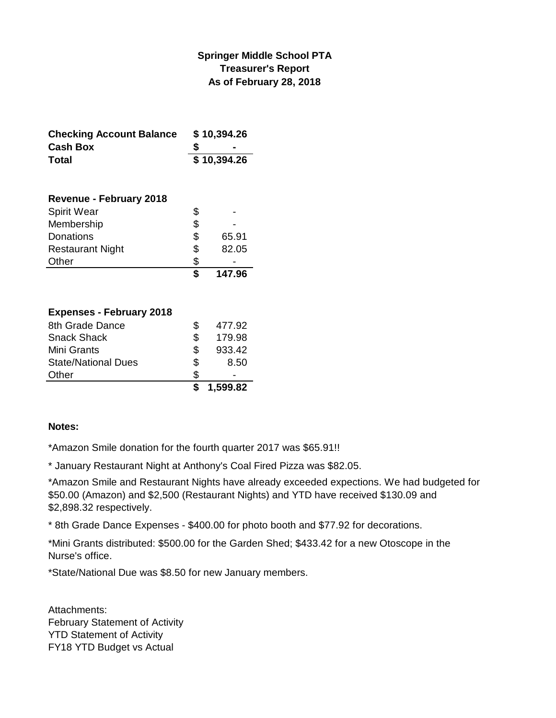### **Springer Middle School PTA Treasurer's Report As of February 28, 2018**

| <b>Checking Account Balance</b> | \$10,394.26 |  |
|---------------------------------|-------------|--|
| <b>Cash Box</b>                 |             |  |
| Total                           | \$10,394.26 |  |

| <b>Revenue - February 2018</b> |             |
|--------------------------------|-------------|
| <b>Spirit Wear</b>             | \$          |
| Membership                     | \$          |
| Donations                      | \$<br>65.91 |
| <b>Restaurant Night</b>        | \$<br>82.05 |
| Other                          | \$          |
|                                | 147.96      |

### **Expenses - February 2018**

|                            |     | 1,599.82 |
|----------------------------|-----|----------|
| Other                      | S.  |          |
| <b>State/National Dues</b> | \$  | 8.50     |
| Mini Grants                | \$. | 933.42   |
| <b>Snack Shack</b>         | S   | 179.98   |
| 8th Grade Dance            |     | 477.92   |

#### **Notes:**

\*Amazon Smile donation for the fourth quarter 2017 was \$65.91!!

\* January Restaurant Night at Anthony's Coal Fired Pizza was \$82.05.

\*Amazon Smile and Restaurant Nights have already exceeded expections. We had budgeted for \$50.00 (Amazon) and \$2,500 (Restaurant Nights) and YTD have received \$130.09 and \$2,898.32 respectively.

\* 8th Grade Dance Expenses - \$400.00 for photo booth and \$77.92 for decorations.

\*Mini Grants distributed: \$500.00 for the Garden Shed; \$433.42 for a new Otoscope in the Nurse's office.

\*State/National Due was \$8.50 for new January members.

Attachments: February Statement of Activity YTD Statement of Activity FY18 YTD Budget vs Actual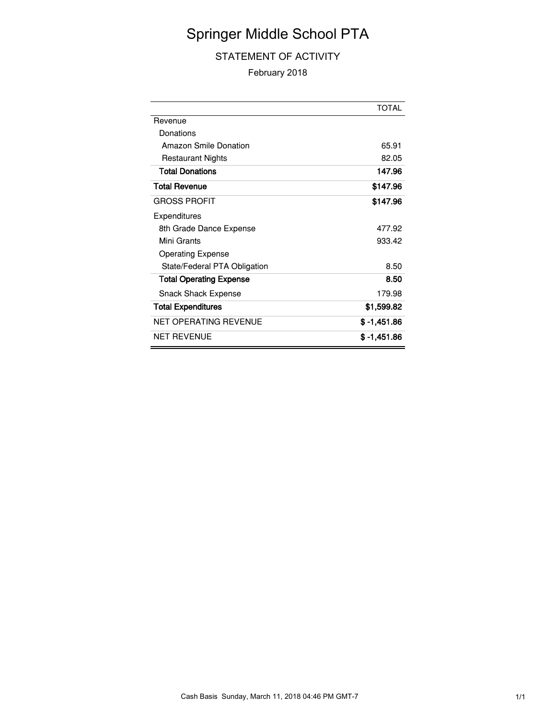# Springer Middle School PTA

### STATEMENT OF ACTIVITY

February 2018

|                                | <b>TOTAL</b> |
|--------------------------------|--------------|
| Revenue                        |              |
| Donations                      |              |
| Amazon Smile Donation          | 65.91        |
| <b>Restaurant Nights</b>       | 82.05        |
| <b>Total Donations</b>         | 147.96       |
| <b>Total Revenue</b>           | \$147.96     |
| <b>GROSS PROFIT</b>            | \$147.96     |
| Expenditures                   |              |
| 8th Grade Dance Expense        | 477.92       |
| Mini Grants                    | 933.42       |
| <b>Operating Expense</b>       |              |
| State/Federal PTA Obligation   | 8.50         |
| <b>Total Operating Expense</b> | 8.50         |
| <b>Snack Shack Expense</b>     | 179.98       |
| <b>Total Expenditures</b>      | \$1,599.82   |
| <b>NET OPERATING REVENUE</b>   | \$ -1.451.86 |
| <b>NET REVENUE</b>             | \$ -1.451.86 |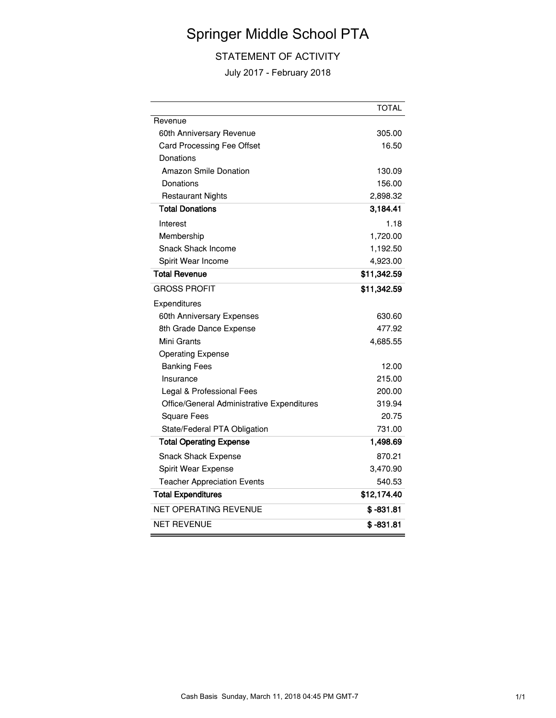# Springer Middle School PTA

### STATEMENT OF ACTIVITY

July 2017 - February 2018

|                                            | <b>TOTAL</b> |
|--------------------------------------------|--------------|
| Revenue                                    |              |
| 60th Anniversary Revenue                   | 305.00       |
| Card Processing Fee Offset                 | 16.50        |
| Donations                                  |              |
| <b>Amazon Smile Donation</b>               | 130.09       |
| Donations                                  | 156.00       |
| <b>Restaurant Nights</b>                   | 2,898.32     |
| <b>Total Donations</b>                     | 3,184.41     |
| Interest                                   | 1.18         |
| Membership                                 | 1,720.00     |
| Snack Shack Income                         | 1,192.50     |
| Spirit Wear Income                         | 4,923.00     |
| <b>Total Revenue</b>                       | \$11,342.59  |
| <b>GROSS PROFIT</b>                        | \$11,342.59  |
| Expenditures                               |              |
| 60th Anniversary Expenses                  | 630.60       |
| 8th Grade Dance Expense                    | 477.92       |
| Mini Grants                                | 4,685.55     |
| <b>Operating Expense</b>                   |              |
| <b>Banking Fees</b>                        | 12.00        |
| Insurance                                  | 215.00       |
| Legal & Professional Fees                  | 200.00       |
| Office/General Administrative Expenditures | 319.94       |
| <b>Square Fees</b>                         | 20.75        |
| State/Federal PTA Obligation               | 731.00       |
| <b>Total Operating Expense</b>             | 1,498.69     |
| <b>Snack Shack Expense</b>                 | 870.21       |
| Spirit Wear Expense                        | 3,470.90     |
| <b>Teacher Appreciation Events</b>         | 540.53       |
| <b>Total Expenditures</b>                  | \$12,174.40  |
| <b>NET OPERATING REVENUE</b>               | $$ -831.81$  |
| <b>NET REVENUE</b>                         | $$ -831.81$  |